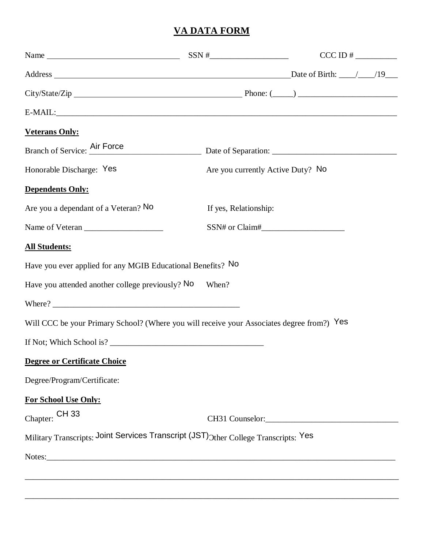# **VA DATA FORM**

|                                                                                            |                                  | $CCCID # \_\_$                    |  |
|--------------------------------------------------------------------------------------------|----------------------------------|-----------------------------------|--|
|                                                                                            |                                  |                                   |  |
|                                                                                            | $City/State/Zip$ Phone: $(\_\_)$ |                                   |  |
| $E-MAIL:$                                                                                  |                                  |                                   |  |
| <b>Veterans Only:</b>                                                                      |                                  |                                   |  |
|                                                                                            |                                  |                                   |  |
| Honorable Discharge: Yes                                                                   |                                  | Are you currently Active Duty? No |  |
| <b>Dependents Only:</b>                                                                    |                                  |                                   |  |
| Are you a dependant of a Veteran? No                                                       | If yes, Relationship:            |                                   |  |
|                                                                                            |                                  |                                   |  |
| <b>All Students:</b>                                                                       |                                  |                                   |  |
| Have you ever applied for any MGIB Educational Benefits? No                                |                                  |                                   |  |
| Have you attended another college previously? No                                           | When?                            |                                   |  |
|                                                                                            |                                  |                                   |  |
| Will CCC be your Primary School? (Where you will receive your Associates degree from?) Yes |                                  |                                   |  |
| If Not; Which School is?                                                                   |                                  |                                   |  |
| <b>Degree or Certificate Choice</b>                                                        |                                  |                                   |  |
| Degree/Program/Certificate:                                                                |                                  |                                   |  |
| For School Use Only:                                                                       |                                  |                                   |  |
| Chapter: CH 33                                                                             |                                  |                                   |  |
| Military Transcripts: Joint Services Transcript (JST) Other College Transcripts: Yes       |                                  |                                   |  |
|                                                                                            |                                  |                                   |  |

\_\_\_\_\_\_\_\_\_\_\_\_\_\_\_\_\_\_\_\_\_\_\_\_\_\_\_\_\_\_\_\_\_\_\_\_\_\_\_\_\_\_\_\_\_\_\_\_\_\_\_\_\_\_\_\_\_\_\_\_\_\_\_\_\_\_\_\_\_\_\_\_\_\_\_\_\_\_\_\_\_\_\_\_\_\_\_\_\_\_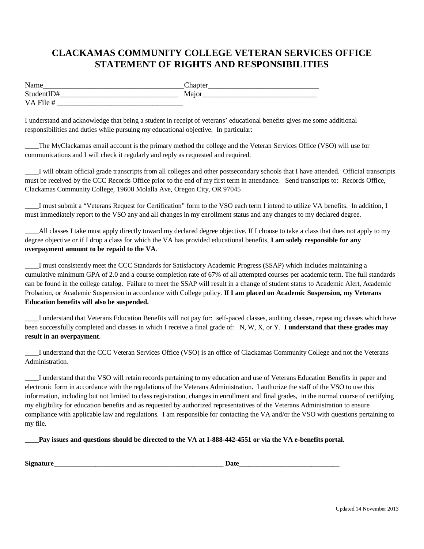# **CLACKAMAS COMMUNITY COLLEGE VETERAN SERVICES OFFICE STATEMENT OF RIGHTS AND RESPONSIBILITIES**

| Name       | Lhapter |
|------------|---------|
| StudentID# | Major   |
| VA File #  |         |

I understand and acknowledge that being a student in receipt of veterans' educational benefits gives me some additional responsibilities and duties while pursuing my educational objective. In particular:

\_\_\_\_The MyClackamas email account is the primary method the college and the Veteran Services Office (VSO) will use for communications and I will check it regularly and reply as requested and required.

\_\_\_\_I will obtain official grade transcripts from all colleges and other postsecondary schools that I have attended. Official transcripts must be received by the CCC Records Office prior to the end of my first term in attendance. Send transcripts to: Records Office, Clackamas Community College, 19600 Molalla Ave, Oregon City, OR 97045

\_\_\_\_I must submit a "Veterans Request for Certification" form to the VSO each term I intend to utilize VA benefits. In addition, I must immediately report to the VSO any and all changes in my enrollment status and any changes to my declared degree.

\_\_\_\_All classes I take must apply directly toward my declared degree objective. If I choose to take a class that does not apply to my degree objective or if I drop a class for which the VA has provided educational benefits, **I am solely responsible for any overpayment amount to be repaid to the VA**.

\_\_\_\_I must consistently meet the CCC Standards for Satisfactory Academic Progress (SSAP) which includes maintaining a cumulative minimum GPA of 2.0 and a course completion rate of 67% of all attempted courses per academic term. The full standards can be found in the college catalog. Failure to meet the SSAP will result in a change of student status to Academic Alert, Academic Probation, or Academic Suspension in accordance with College policy. **If I am placed on Academic Suspension, my Veterans Education benefits will also be suspended.**

\_\_\_\_I understand that Veterans Education Benefits will not pay for: self-paced classes, auditing classes, repeating classes which have been successfully completed and classes in which I receive a final grade of: N, W, X, or Y. **I understand that these grades may result in an overpayment**.

\_\_\_\_I understand that the CCC Veteran Services Office (VSO) is an office of Clackamas Community College and not the Veterans Administration.

\_\_\_\_I understand that the VSO will retain records pertaining to my education and use of Veterans Education Benefits in paper and electronic form in accordance with the regulations of the Veterans Administration. I authorize the staff of the VSO to use this information, including but not limited to class registration, changes in enrollment and final grades, in the normal course of certifying my eligibility for education benefits and as requested by authorized representatives of the Veterans Administration to ensure compliance with applicable law and regulations. I am responsible for contacting the VA and/or the VSO with questions pertaining to my file.

Pay issues and questions should be directed to the VA at 1-888-442-4551 or via the VA e-benefits portal.

| n.   | ומו |
|------|-----|
| Sig- | ~~  |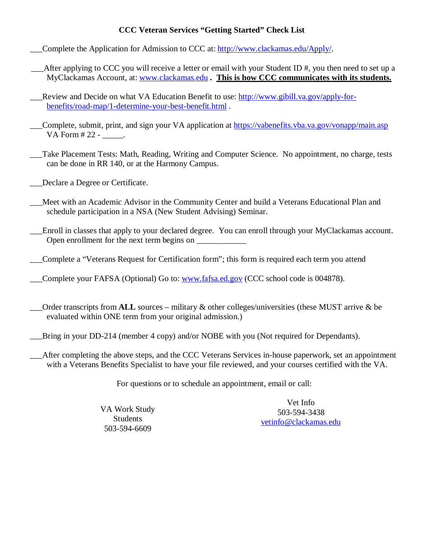### **CCC Veteran Services "Getting Started" Check List**

Complete the Application for Admission to CCC at: [http://www.clackamas.edu/Apply/.](http://www.clackamas.edu/Apply/)

\_\_\_After applying to CCC you will receive a letter or email with your Student ID #, you then need to set up a MyClackamas Account, at: [www.clackamas.edu](http://www.clackamas.edu/) *.* **This is how CCC communicates with its students.**

Review and Decide on what VA Education Benefit to use: [http://www.gibill.va.gov/apply-for](http://www.gibill.va.gov/apply-for-benefits/road-map/1-determine-your-best-benefit.html)[benefits/road-map/1-determine-your-best-benefit.html](http://www.gibill.va.gov/apply-for-benefits/road-map/1-determine-your-best-benefit.html) .

\_\_\_Complete, submit, print, and sign your VA application at<https://vabenefits.vba.va.gov/vonapp/main.asp> VA Form # 22 - \_\_\_\_\_.

\_\_\_Take Placement Tests: Math, Reading, Writing and Computer Science. No appointment, no charge, tests can be done in RR 140, or at the Harmony Campus.

\_\_\_Declare a Degree or Certificate.

\_\_\_Meet with an Academic Advisor in the Community Center and build a Veterans Educational Plan and schedule participation in a NSA (New Student Advising) Seminar.

\_\_\_Enroll in classes that apply to your declared degree. You can enroll through your MyClackamas account. Open enrollment for the next term begins on \_\_\_\_\_\_\_\_\_\_\_\_

\_\_\_Complete a "Veterans Request for Certification form"; this form is required each term you attend

Complete your FAFSA (Optional) Go to: [www.fafsa.ed.gov](http://www.fafsa.ed.gov/) (CCC school code is 004878).

- \_\_\_Order transcripts from **ALL** sources military & other colleges/universities (these MUST arrive & be evaluated within ONE term from your original admission.)
- Bring in your DD-214 (member 4 copy) and/or NOBE with you (Not required for Dependants).
- After completing the above steps, and the CCC Veterans Services in-house paperwork, set an appointment with a Veterans Benefits Specialist to have your file reviewed, and your courses certified with the VA.

For questions or to schedule an appointment, email or call:

VA Work Study Students 503-594-6609

Vet Info 503-594-3438 [vetinfo@clackamas.edu](mailto:vetinfo@clackamas.edu)